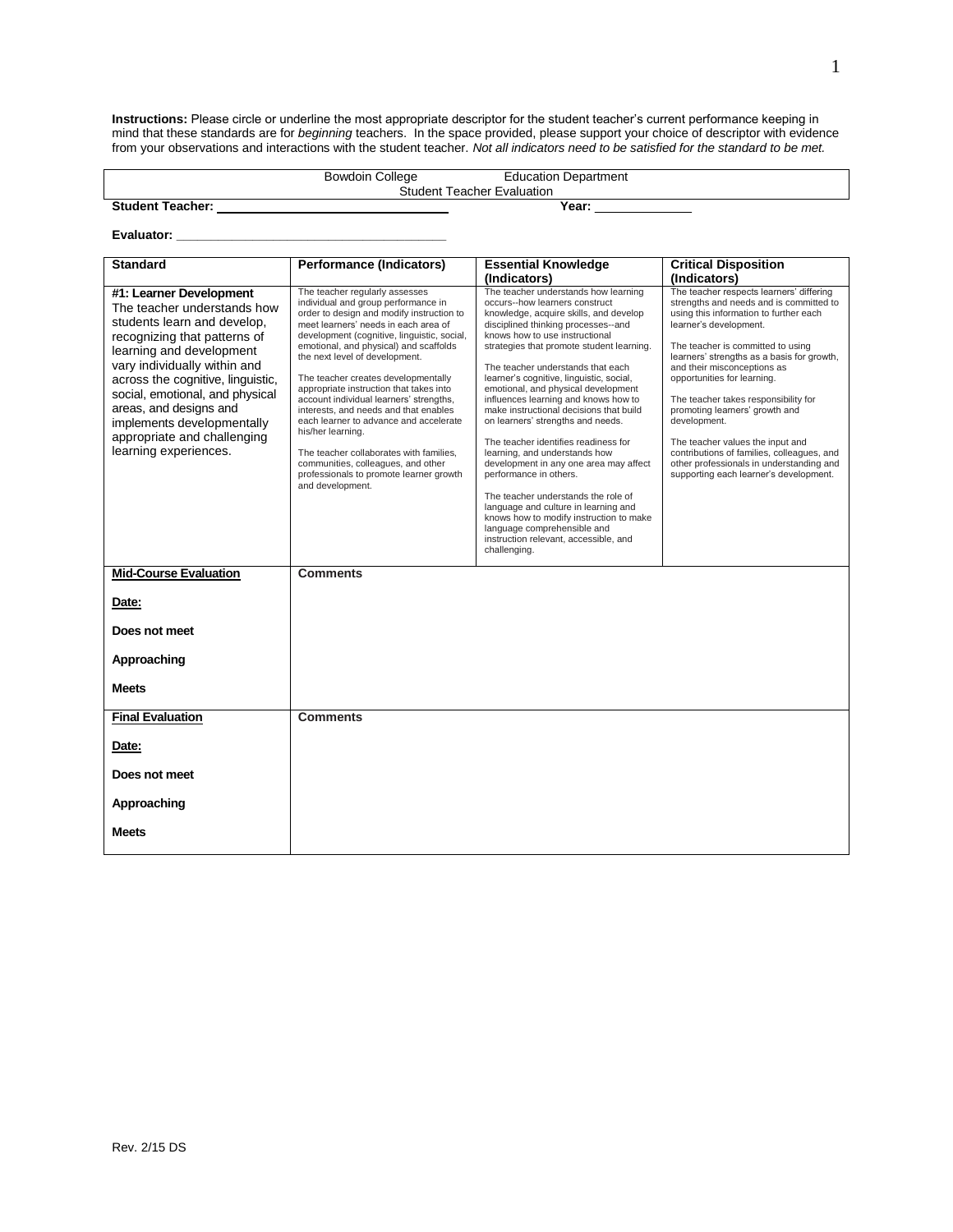**Instructions:** Please circle or underline the most appropriate descriptor for the student teacher's current performance keeping in mind that these standards are for *beginning* teachers. In the space provided, please support your choice of descriptor with evidence from your observations and interactions with the student teacher. *Not all indicators need to be satisfied for the standard to be met.*

|                                   | <b>Bowdoin College</b> | <b>Education Department</b> |
|-----------------------------------|------------------------|-----------------------------|
| <b>Student Teacher Evaluation</b> |                        |                             |
| <b>Student Teacher:</b>           |                        | Year:                       |

**Evaluator: \_\_\_\_\_\_\_\_\_\_\_\_\_\_\_\_\_\_\_\_\_\_\_\_\_\_\_\_\_\_\_\_\_\_\_\_\_\_\_**

| <b>Standard</b>                                                                                                                                                                                                                                                                                                                                                           | <b>Performance (Indicators)</b>                                                                                                                                                                                                                                                                                                                                                                                                                                                                                                                                                                                                                                            | <b>Essential Knowledge</b>                                                                                                                                                                                                                                                                                                                                                                                                                                                                                                                                                                                                                                                                                                                                                                                                                            | <b>Critical Disposition</b>                                                                                                                                                                                                                                                                                                                                                                                                                                                                                                                                                |
|---------------------------------------------------------------------------------------------------------------------------------------------------------------------------------------------------------------------------------------------------------------------------------------------------------------------------------------------------------------------------|----------------------------------------------------------------------------------------------------------------------------------------------------------------------------------------------------------------------------------------------------------------------------------------------------------------------------------------------------------------------------------------------------------------------------------------------------------------------------------------------------------------------------------------------------------------------------------------------------------------------------------------------------------------------------|-------------------------------------------------------------------------------------------------------------------------------------------------------------------------------------------------------------------------------------------------------------------------------------------------------------------------------------------------------------------------------------------------------------------------------------------------------------------------------------------------------------------------------------------------------------------------------------------------------------------------------------------------------------------------------------------------------------------------------------------------------------------------------------------------------------------------------------------------------|----------------------------------------------------------------------------------------------------------------------------------------------------------------------------------------------------------------------------------------------------------------------------------------------------------------------------------------------------------------------------------------------------------------------------------------------------------------------------------------------------------------------------------------------------------------------------|
|                                                                                                                                                                                                                                                                                                                                                                           |                                                                                                                                                                                                                                                                                                                                                                                                                                                                                                                                                                                                                                                                            | (Indicators)                                                                                                                                                                                                                                                                                                                                                                                                                                                                                                                                                                                                                                                                                                                                                                                                                                          | (Indicators)                                                                                                                                                                                                                                                                                                                                                                                                                                                                                                                                                               |
| #1: Learner Development<br>The teacher understands how<br>students learn and develop,<br>recognizing that patterns of<br>learning and development<br>vary individually within and<br>across the cognitive, linguistic,<br>social, emotional, and physical<br>areas, and designs and<br>implements developmentally<br>appropriate and challenging<br>learning experiences. | The teacher regularly assesses<br>individual and group performance in<br>order to design and modify instruction to<br>meet learners' needs in each area of<br>development (cognitive, linguistic, social,<br>emotional, and physical) and scaffolds<br>the next level of development.<br>The teacher creates developmentally<br>appropriate instruction that takes into<br>account individual learners' strengths,<br>interests, and needs and that enables<br>each learner to advance and accelerate<br>his/her learning.<br>The teacher collaborates with families,<br>communities, colleagues, and other<br>professionals to promote learner growth<br>and development. | The teacher understands how learning<br>occurs--how learners construct<br>knowledge, acquire skills, and develop<br>disciplined thinking processes--and<br>knows how to use instructional<br>strategies that promote student learning.<br>The teacher understands that each<br>learner's cognitive, linguistic, social,<br>emotional, and physical development<br>influences learning and knows how to<br>make instructional decisions that build<br>on learners' strengths and needs.<br>The teacher identifies readiness for<br>learning, and understands how<br>development in any one area may affect<br>performance in others.<br>The teacher understands the role of<br>language and culture in learning and<br>knows how to modify instruction to make<br>language comprehensible and<br>instruction relevant, accessible, and<br>challenging. | The teacher respects learners' differing<br>strengths and needs and is committed to<br>using this information to further each<br>learner's development.<br>The teacher is committed to using<br>learners' strengths as a basis for growth,<br>and their misconceptions as<br>opportunities for learning.<br>The teacher takes responsibility for<br>promoting learners' growth and<br>development.<br>The teacher values the input and<br>contributions of families, colleagues, and<br>other professionals in understanding and<br>supporting each learner's development. |
| <b>Mid-Course Evaluation</b>                                                                                                                                                                                                                                                                                                                                              | <b>Comments</b>                                                                                                                                                                                                                                                                                                                                                                                                                                                                                                                                                                                                                                                            |                                                                                                                                                                                                                                                                                                                                                                                                                                                                                                                                                                                                                                                                                                                                                                                                                                                       |                                                                                                                                                                                                                                                                                                                                                                                                                                                                                                                                                                            |
| Date:                                                                                                                                                                                                                                                                                                                                                                     |                                                                                                                                                                                                                                                                                                                                                                                                                                                                                                                                                                                                                                                                            |                                                                                                                                                                                                                                                                                                                                                                                                                                                                                                                                                                                                                                                                                                                                                                                                                                                       |                                                                                                                                                                                                                                                                                                                                                                                                                                                                                                                                                                            |
| Does not meet                                                                                                                                                                                                                                                                                                                                                             |                                                                                                                                                                                                                                                                                                                                                                                                                                                                                                                                                                                                                                                                            |                                                                                                                                                                                                                                                                                                                                                                                                                                                                                                                                                                                                                                                                                                                                                                                                                                                       |                                                                                                                                                                                                                                                                                                                                                                                                                                                                                                                                                                            |
| Approaching                                                                                                                                                                                                                                                                                                                                                               |                                                                                                                                                                                                                                                                                                                                                                                                                                                                                                                                                                                                                                                                            |                                                                                                                                                                                                                                                                                                                                                                                                                                                                                                                                                                                                                                                                                                                                                                                                                                                       |                                                                                                                                                                                                                                                                                                                                                                                                                                                                                                                                                                            |
| <b>Meets</b>                                                                                                                                                                                                                                                                                                                                                              |                                                                                                                                                                                                                                                                                                                                                                                                                                                                                                                                                                                                                                                                            |                                                                                                                                                                                                                                                                                                                                                                                                                                                                                                                                                                                                                                                                                                                                                                                                                                                       |                                                                                                                                                                                                                                                                                                                                                                                                                                                                                                                                                                            |
| <b>Final Evaluation</b>                                                                                                                                                                                                                                                                                                                                                   | <b>Comments</b>                                                                                                                                                                                                                                                                                                                                                                                                                                                                                                                                                                                                                                                            |                                                                                                                                                                                                                                                                                                                                                                                                                                                                                                                                                                                                                                                                                                                                                                                                                                                       |                                                                                                                                                                                                                                                                                                                                                                                                                                                                                                                                                                            |
| Date:                                                                                                                                                                                                                                                                                                                                                                     |                                                                                                                                                                                                                                                                                                                                                                                                                                                                                                                                                                                                                                                                            |                                                                                                                                                                                                                                                                                                                                                                                                                                                                                                                                                                                                                                                                                                                                                                                                                                                       |                                                                                                                                                                                                                                                                                                                                                                                                                                                                                                                                                                            |
| Does not meet                                                                                                                                                                                                                                                                                                                                                             |                                                                                                                                                                                                                                                                                                                                                                                                                                                                                                                                                                                                                                                                            |                                                                                                                                                                                                                                                                                                                                                                                                                                                                                                                                                                                                                                                                                                                                                                                                                                                       |                                                                                                                                                                                                                                                                                                                                                                                                                                                                                                                                                                            |
| Approaching                                                                                                                                                                                                                                                                                                                                                               |                                                                                                                                                                                                                                                                                                                                                                                                                                                                                                                                                                                                                                                                            |                                                                                                                                                                                                                                                                                                                                                                                                                                                                                                                                                                                                                                                                                                                                                                                                                                                       |                                                                                                                                                                                                                                                                                                                                                                                                                                                                                                                                                                            |
| <b>Meets</b>                                                                                                                                                                                                                                                                                                                                                              |                                                                                                                                                                                                                                                                                                                                                                                                                                                                                                                                                                                                                                                                            |                                                                                                                                                                                                                                                                                                                                                                                                                                                                                                                                                                                                                                                                                                                                                                                                                                                       |                                                                                                                                                                                                                                                                                                                                                                                                                                                                                                                                                                            |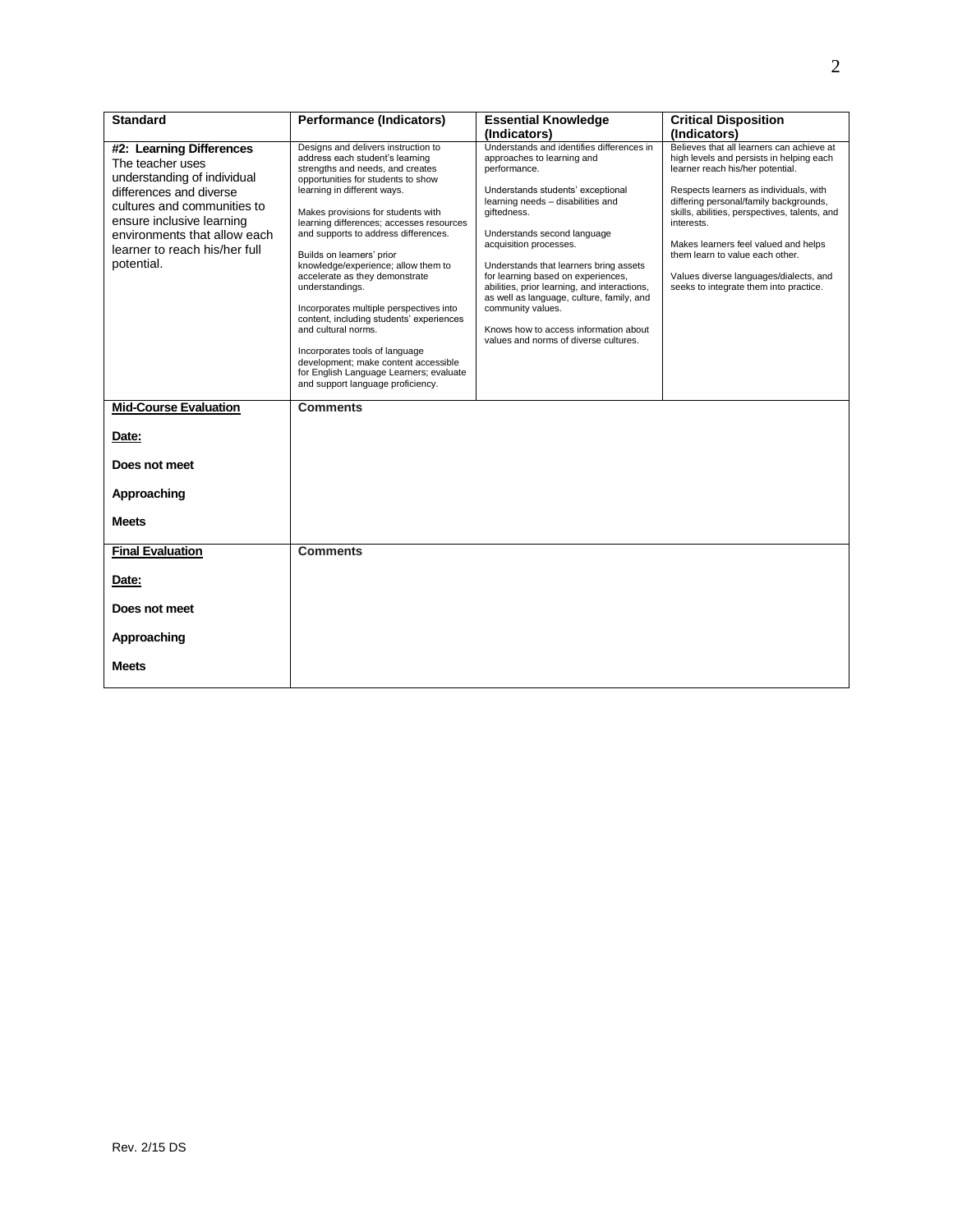| <b>Standard</b>                                                                                                                                                                                                                                   | <b>Performance (Indicators)</b>                                                                                                                                                                                                                                                                                                                                                                                                                                                                                                                                                                                                                                                                            | <b>Essential Knowledge</b>                                                                                                                                                                                                                                                                                                                                                                                                                                                                                                    | <b>Critical Disposition</b>                                                                                                                                                                                                                                                                                                                                                                                                                 |
|---------------------------------------------------------------------------------------------------------------------------------------------------------------------------------------------------------------------------------------------------|------------------------------------------------------------------------------------------------------------------------------------------------------------------------------------------------------------------------------------------------------------------------------------------------------------------------------------------------------------------------------------------------------------------------------------------------------------------------------------------------------------------------------------------------------------------------------------------------------------------------------------------------------------------------------------------------------------|-------------------------------------------------------------------------------------------------------------------------------------------------------------------------------------------------------------------------------------------------------------------------------------------------------------------------------------------------------------------------------------------------------------------------------------------------------------------------------------------------------------------------------|---------------------------------------------------------------------------------------------------------------------------------------------------------------------------------------------------------------------------------------------------------------------------------------------------------------------------------------------------------------------------------------------------------------------------------------------|
|                                                                                                                                                                                                                                                   |                                                                                                                                                                                                                                                                                                                                                                                                                                                                                                                                                                                                                                                                                                            | (Indicators)                                                                                                                                                                                                                                                                                                                                                                                                                                                                                                                  | (Indicators)                                                                                                                                                                                                                                                                                                                                                                                                                                |
| #2: Learning Differences<br>The teacher uses<br>understanding of individual<br>differences and diverse<br>cultures and communities to<br>ensure inclusive learning<br>environments that allow each<br>learner to reach his/her full<br>potential. | Designs and delivers instruction to<br>address each student's learning<br>strengths and needs, and creates<br>opportunities for students to show<br>learning in different ways.<br>Makes provisions for students with<br>learning differences; accesses resources<br>and supports to address differences.<br>Builds on learners' prior<br>knowledge/experience; allow them to<br>accelerate as they demonstrate<br>understandings.<br>Incorporates multiple perspectives into<br>content, including students' experiences<br>and cultural norms.<br>Incorporates tools of language<br>development; make content accessible<br>for English Language Learners; evaluate<br>and support language proficiency. | Understands and identifies differences in<br>approaches to learning and<br>performance.<br>Understands students' exceptional<br>learning needs - disabilities and<br>aiftedness.<br>Understands second language<br>acquisition processes.<br>Understands that learners bring assets<br>for learning based on experiences,<br>abilities, prior learning, and interactions,<br>as well as language, culture, family, and<br>community values.<br>Knows how to access information about<br>values and norms of diverse cultures. | Believes that all learners can achieve at<br>high levels and persists in helping each<br>learner reach his/her potential.<br>Respects learners as individuals, with<br>differing personal/family backgrounds,<br>skills, abilities, perspectives, talents, and<br>interests.<br>Makes learners feel valued and helps<br>them learn to value each other.<br>Values diverse languages/dialects, and<br>seeks to integrate them into practice. |
| <b>Mid-Course Evaluation</b>                                                                                                                                                                                                                      | <b>Comments</b>                                                                                                                                                                                                                                                                                                                                                                                                                                                                                                                                                                                                                                                                                            |                                                                                                                                                                                                                                                                                                                                                                                                                                                                                                                               |                                                                                                                                                                                                                                                                                                                                                                                                                                             |
| Date:                                                                                                                                                                                                                                             |                                                                                                                                                                                                                                                                                                                                                                                                                                                                                                                                                                                                                                                                                                            |                                                                                                                                                                                                                                                                                                                                                                                                                                                                                                                               |                                                                                                                                                                                                                                                                                                                                                                                                                                             |
| Does not meet                                                                                                                                                                                                                                     |                                                                                                                                                                                                                                                                                                                                                                                                                                                                                                                                                                                                                                                                                                            |                                                                                                                                                                                                                                                                                                                                                                                                                                                                                                                               |                                                                                                                                                                                                                                                                                                                                                                                                                                             |
| Approaching                                                                                                                                                                                                                                       |                                                                                                                                                                                                                                                                                                                                                                                                                                                                                                                                                                                                                                                                                                            |                                                                                                                                                                                                                                                                                                                                                                                                                                                                                                                               |                                                                                                                                                                                                                                                                                                                                                                                                                                             |
| <b>Meets</b>                                                                                                                                                                                                                                      |                                                                                                                                                                                                                                                                                                                                                                                                                                                                                                                                                                                                                                                                                                            |                                                                                                                                                                                                                                                                                                                                                                                                                                                                                                                               |                                                                                                                                                                                                                                                                                                                                                                                                                                             |
| <b>Final Evaluation</b>                                                                                                                                                                                                                           | <b>Comments</b>                                                                                                                                                                                                                                                                                                                                                                                                                                                                                                                                                                                                                                                                                            |                                                                                                                                                                                                                                                                                                                                                                                                                                                                                                                               |                                                                                                                                                                                                                                                                                                                                                                                                                                             |
| Date:                                                                                                                                                                                                                                             |                                                                                                                                                                                                                                                                                                                                                                                                                                                                                                                                                                                                                                                                                                            |                                                                                                                                                                                                                                                                                                                                                                                                                                                                                                                               |                                                                                                                                                                                                                                                                                                                                                                                                                                             |
| Does not meet                                                                                                                                                                                                                                     |                                                                                                                                                                                                                                                                                                                                                                                                                                                                                                                                                                                                                                                                                                            |                                                                                                                                                                                                                                                                                                                                                                                                                                                                                                                               |                                                                                                                                                                                                                                                                                                                                                                                                                                             |
| Approaching                                                                                                                                                                                                                                       |                                                                                                                                                                                                                                                                                                                                                                                                                                                                                                                                                                                                                                                                                                            |                                                                                                                                                                                                                                                                                                                                                                                                                                                                                                                               |                                                                                                                                                                                                                                                                                                                                                                                                                                             |
| <b>Meets</b>                                                                                                                                                                                                                                      |                                                                                                                                                                                                                                                                                                                                                                                                                                                                                                                                                                                                                                                                                                            |                                                                                                                                                                                                                                                                                                                                                                                                                                                                                                                               |                                                                                                                                                                                                                                                                                                                                                                                                                                             |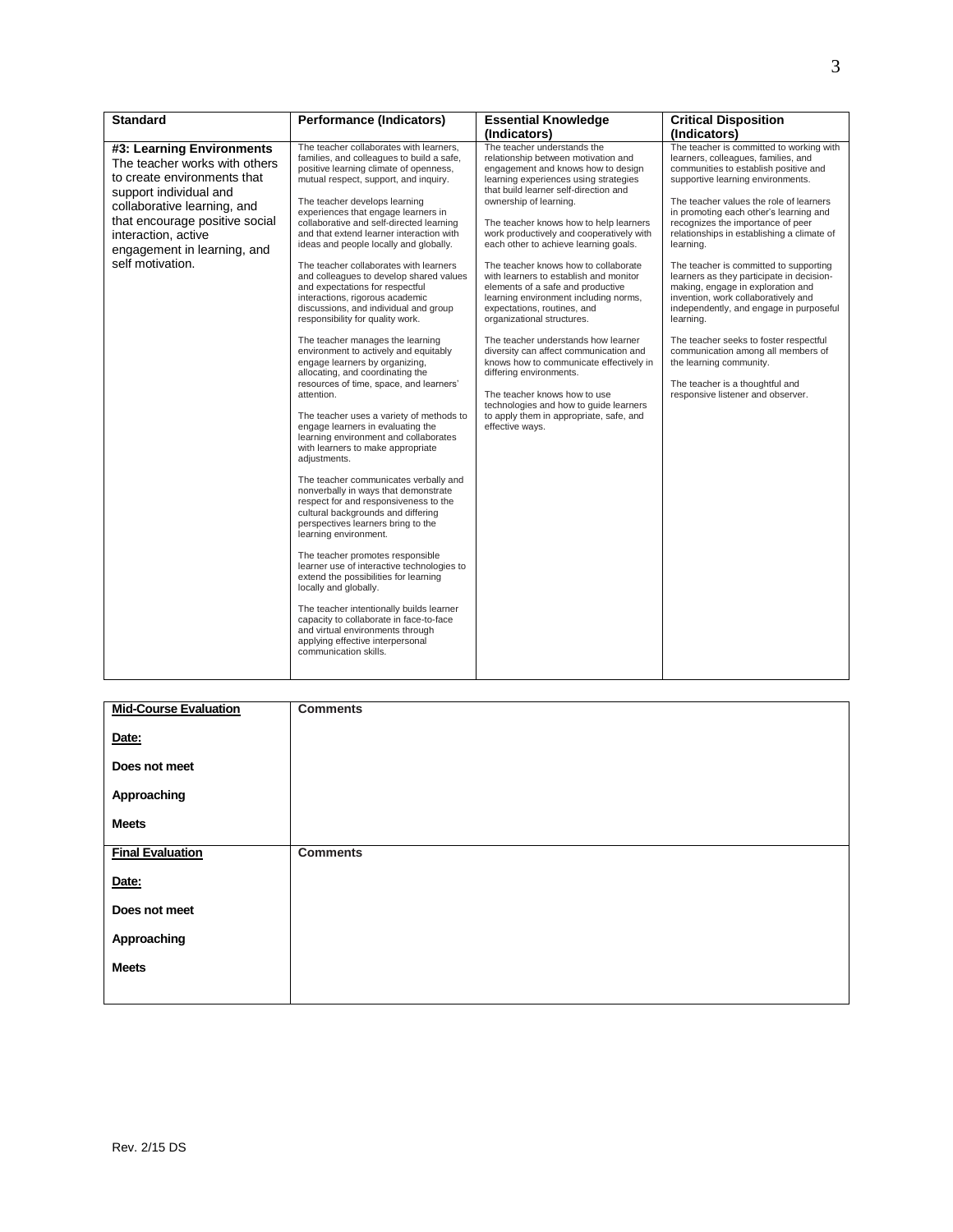| <b>Standard</b>                                                                                                                                                                                                                                                | <b>Performance (Indicators)</b>                                                                                                                                                                                                                                                                                                                                                                                                                                                                                                                                                                                                                                                                                                                                                                                                                                                                                                                                                                                                                                                                                                                                                                                                                                                                                                                                                                                                                                                                                                                                                                 | <b>Essential Knowledge</b>                                                                                                                                                                                                                                                                                                                                                                                                                                                                                                                                                                                                                                                                                                                                                                                                                                                      | <b>Critical Disposition</b>                                                                                                                                                                                                                                                                                                                                                                                                                                                                                                                                                                                                                                                                                                                                      |
|----------------------------------------------------------------------------------------------------------------------------------------------------------------------------------------------------------------------------------------------------------------|-------------------------------------------------------------------------------------------------------------------------------------------------------------------------------------------------------------------------------------------------------------------------------------------------------------------------------------------------------------------------------------------------------------------------------------------------------------------------------------------------------------------------------------------------------------------------------------------------------------------------------------------------------------------------------------------------------------------------------------------------------------------------------------------------------------------------------------------------------------------------------------------------------------------------------------------------------------------------------------------------------------------------------------------------------------------------------------------------------------------------------------------------------------------------------------------------------------------------------------------------------------------------------------------------------------------------------------------------------------------------------------------------------------------------------------------------------------------------------------------------------------------------------------------------------------------------------------------------|---------------------------------------------------------------------------------------------------------------------------------------------------------------------------------------------------------------------------------------------------------------------------------------------------------------------------------------------------------------------------------------------------------------------------------------------------------------------------------------------------------------------------------------------------------------------------------------------------------------------------------------------------------------------------------------------------------------------------------------------------------------------------------------------------------------------------------------------------------------------------------|------------------------------------------------------------------------------------------------------------------------------------------------------------------------------------------------------------------------------------------------------------------------------------------------------------------------------------------------------------------------------------------------------------------------------------------------------------------------------------------------------------------------------------------------------------------------------------------------------------------------------------------------------------------------------------------------------------------------------------------------------------------|
|                                                                                                                                                                                                                                                                |                                                                                                                                                                                                                                                                                                                                                                                                                                                                                                                                                                                                                                                                                                                                                                                                                                                                                                                                                                                                                                                                                                                                                                                                                                                                                                                                                                                                                                                                                                                                                                                                 | (Indicators)                                                                                                                                                                                                                                                                                                                                                                                                                                                                                                                                                                                                                                                                                                                                                                                                                                                                    | (Indicators)                                                                                                                                                                                                                                                                                                                                                                                                                                                                                                                                                                                                                                                                                                                                                     |
| #3: Learning Environments<br>The teacher works with others<br>to create environments that<br>support individual and<br>collaborative learning, and<br>that encourage positive social<br>interaction, active<br>engagement in learning, and<br>self motivation. | The teacher collaborates with learners.<br>families, and colleagues to build a safe,<br>positive learning climate of openness,<br>mutual respect, support, and inquiry.<br>The teacher develops learning<br>experiences that engage learners in<br>collaborative and self-directed learning<br>and that extend learner interaction with<br>ideas and people locally and globally.<br>The teacher collaborates with learners<br>and colleagues to develop shared values<br>and expectations for respectful<br>interactions, rigorous academic<br>discussions, and individual and group<br>responsibility for quality work.<br>The teacher manages the learning<br>environment to actively and equitably<br>engage learners by organizing,<br>allocating, and coordinating the<br>resources of time, space, and learners'<br>attention.<br>The teacher uses a variety of methods to<br>engage learners in evaluating the<br>learning environment and collaborates<br>with learners to make appropriate<br>adjustments.<br>The teacher communicates verbally and<br>nonverbally in ways that demonstrate<br>respect for and responsiveness to the<br>cultural backgrounds and differing<br>perspectives learners bring to the<br>learning environment.<br>The teacher promotes responsible<br>learner use of interactive technologies to<br>extend the possibilities for learning<br>locally and globally.<br>The teacher intentionally builds learner<br>capacity to collaborate in face-to-face<br>and virtual environments through<br>applying effective interpersonal<br>communication skills. | The teacher understands the<br>relationship between motivation and<br>engagement and knows how to design<br>learning experiences using strategies<br>that build learner self-direction and<br>ownership of learning.<br>The teacher knows how to help learners<br>work productively and cooperatively with<br>each other to achieve learning goals.<br>The teacher knows how to collaborate<br>with learners to establish and monitor<br>elements of a safe and productive<br>learning environment including norms,<br>expectations, routines, and<br>organizational structures.<br>The teacher understands how learner<br>diversity can affect communication and<br>knows how to communicate effectively in<br>differing environments.<br>The teacher knows how to use<br>technologies and how to guide learners<br>to apply them in appropriate, safe, and<br>effective ways. | The teacher is committed to working with<br>learners, colleagues, families, and<br>communities to establish positive and<br>supportive learning environments.<br>The teacher values the role of learners<br>in promoting each other's learning and<br>recognizes the importance of peer<br>relationships in establishing a climate of<br>learning.<br>The teacher is committed to supporting<br>learners as they participate in decision-<br>making, engage in exploration and<br>invention, work collaboratively and<br>independently, and engage in purposeful<br>learning.<br>The teacher seeks to foster respectful<br>communication among all members of<br>the learning community.<br>The teacher is a thoughtful and<br>responsive listener and observer. |

| <b>Mid-Course Evaluation</b> | <b>Comments</b> |
|------------------------------|-----------------|
| Date:                        |                 |
| Does not meet                |                 |
| Approaching                  |                 |
| <b>Meets</b>                 |                 |
| <b>Final Evaluation</b>      | <b>Comments</b> |
| Date:                        |                 |
| Does not meet                |                 |
| Approaching                  |                 |
| <b>Meets</b>                 |                 |
|                              |                 |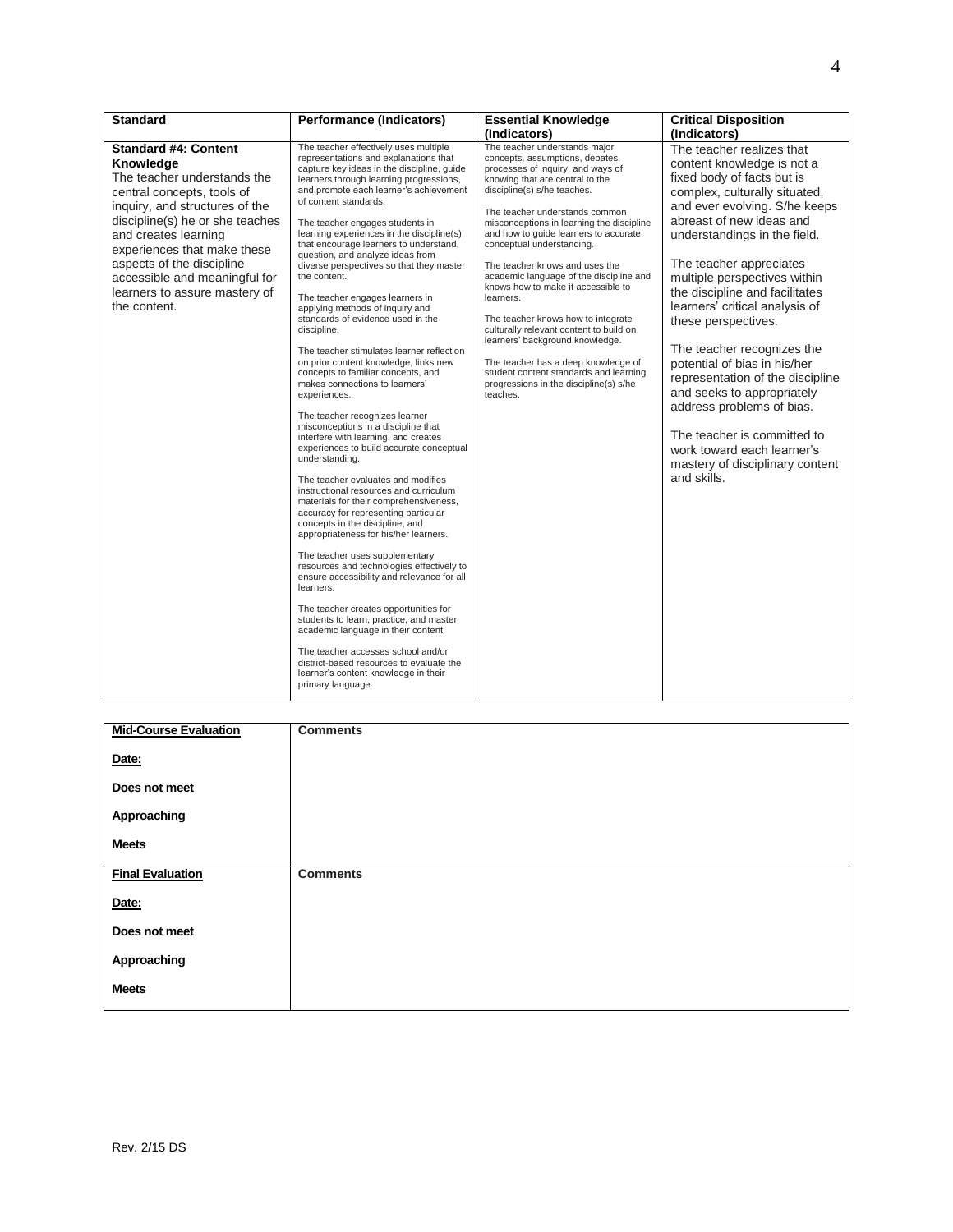| <b>Standard</b>                                                                                                                                                                                                                                                                                                                                  | <b>Performance (Indicators)</b>                                                                                                                                                                                                                                                                                                                                                                                                                                                                                                                                                                                                                                                                                                                                                                                                                                                                                                                                                                                                                                                                                                                                                                                                                                                                                                                                                                                                                                                                                                                                                                                               | <b>Essential Knowledge</b>                                                                                                                                                                                                                                                                                                                                                                                                                                                                                                                                                                                                                                                                                              | <b>Critical Disposition</b>                                                                                                                                                                                                                                                                                                                                                                                                                                                                                                                                                                                                                           |
|--------------------------------------------------------------------------------------------------------------------------------------------------------------------------------------------------------------------------------------------------------------------------------------------------------------------------------------------------|-------------------------------------------------------------------------------------------------------------------------------------------------------------------------------------------------------------------------------------------------------------------------------------------------------------------------------------------------------------------------------------------------------------------------------------------------------------------------------------------------------------------------------------------------------------------------------------------------------------------------------------------------------------------------------------------------------------------------------------------------------------------------------------------------------------------------------------------------------------------------------------------------------------------------------------------------------------------------------------------------------------------------------------------------------------------------------------------------------------------------------------------------------------------------------------------------------------------------------------------------------------------------------------------------------------------------------------------------------------------------------------------------------------------------------------------------------------------------------------------------------------------------------------------------------------------------------------------------------------------------------|-------------------------------------------------------------------------------------------------------------------------------------------------------------------------------------------------------------------------------------------------------------------------------------------------------------------------------------------------------------------------------------------------------------------------------------------------------------------------------------------------------------------------------------------------------------------------------------------------------------------------------------------------------------------------------------------------------------------------|-------------------------------------------------------------------------------------------------------------------------------------------------------------------------------------------------------------------------------------------------------------------------------------------------------------------------------------------------------------------------------------------------------------------------------------------------------------------------------------------------------------------------------------------------------------------------------------------------------------------------------------------------------|
|                                                                                                                                                                                                                                                                                                                                                  |                                                                                                                                                                                                                                                                                                                                                                                                                                                                                                                                                                                                                                                                                                                                                                                                                                                                                                                                                                                                                                                                                                                                                                                                                                                                                                                                                                                                                                                                                                                                                                                                                               | (Indicators)                                                                                                                                                                                                                                                                                                                                                                                                                                                                                                                                                                                                                                                                                                            | (Indicators)                                                                                                                                                                                                                                                                                                                                                                                                                                                                                                                                                                                                                                          |
| <b>Standard #4: Content</b><br>Knowledge<br>The teacher understands the<br>central concepts, tools of<br>inguiry, and structures of the<br>discipline(s) he or she teaches<br>and creates learning<br>experiences that make these<br>aspects of the discipline<br>accessible and meaningful for<br>learners to assure mastery of<br>the content. | The teacher effectively uses multiple<br>representations and explanations that<br>capture key ideas in the discipline, guide<br>learners through learning progressions,<br>and promote each learner's achievement<br>of content standards.<br>The teacher engages students in<br>learning experiences in the discipline(s)<br>that encourage learners to understand,<br>question, and analyze ideas from<br>diverse perspectives so that they master<br>the content.<br>The teacher engages learners in<br>applying methods of inquiry and<br>standards of evidence used in the<br>discipline.<br>The teacher stimulates learner reflection<br>on prior content knowledge, links new<br>concepts to familiar concepts, and<br>makes connections to learners'<br>experiences.<br>The teacher recognizes learner<br>misconceptions in a discipline that<br>interfere with learning, and creates<br>experiences to build accurate conceptual<br>understanding.<br>The teacher evaluates and modifies<br>instructional resources and curriculum<br>materials for their comprehensiveness,<br>accuracy for representing particular<br>concepts in the discipline, and<br>appropriateness for his/her learners.<br>The teacher uses supplementary<br>resources and technologies effectively to<br>ensure accessibility and relevance for all<br>learners.<br>The teacher creates opportunities for<br>students to learn, practice, and master<br>academic language in their content.<br>The teacher accesses school and/or<br>district-based resources to evaluate the<br>learner's content knowledge in their<br>primary language. | The teacher understands major<br>concepts, assumptions, debates,<br>processes of inquiry, and ways of<br>knowing that are central to the<br>discipline(s) s/he teaches.<br>The teacher understands common<br>misconceptions in learning the discipline<br>and how to guide learners to accurate<br>conceptual understanding.<br>The teacher knows and uses the<br>academic language of the discipline and<br>knows how to make it accessible to<br>learners.<br>The teacher knows how to integrate<br>culturally relevant content to build on<br>learners' background knowledge.<br>The teacher has a deep knowledge of<br>student content standards and learning<br>progressions in the discipline(s) s/he<br>teaches. | The teacher realizes that<br>content knowledge is not a<br>fixed body of facts but is<br>complex, culturally situated,<br>and ever evolving. S/he keeps<br>abreast of new ideas and<br>understandings in the field.<br>The teacher appreciates<br>multiple perspectives within<br>the discipline and facilitates<br>learners' critical analysis of<br>these perspectives.<br>The teacher recognizes the<br>potential of bias in his/her<br>representation of the discipline<br>and seeks to appropriately<br>address problems of bias.<br>The teacher is committed to<br>work toward each learner's<br>mastery of disciplinary content<br>and skills. |

| <b>Mid-Course Evaluation</b> | <b>Comments</b> |
|------------------------------|-----------------|
| Date:                        |                 |
| Does not meet                |                 |
| Approaching                  |                 |
| <b>Meets</b>                 |                 |
| <b>Final Evaluation</b>      | <b>Comments</b> |
| Date:                        |                 |
| Does not meet                |                 |
| Approaching                  |                 |
| <b>Meets</b>                 |                 |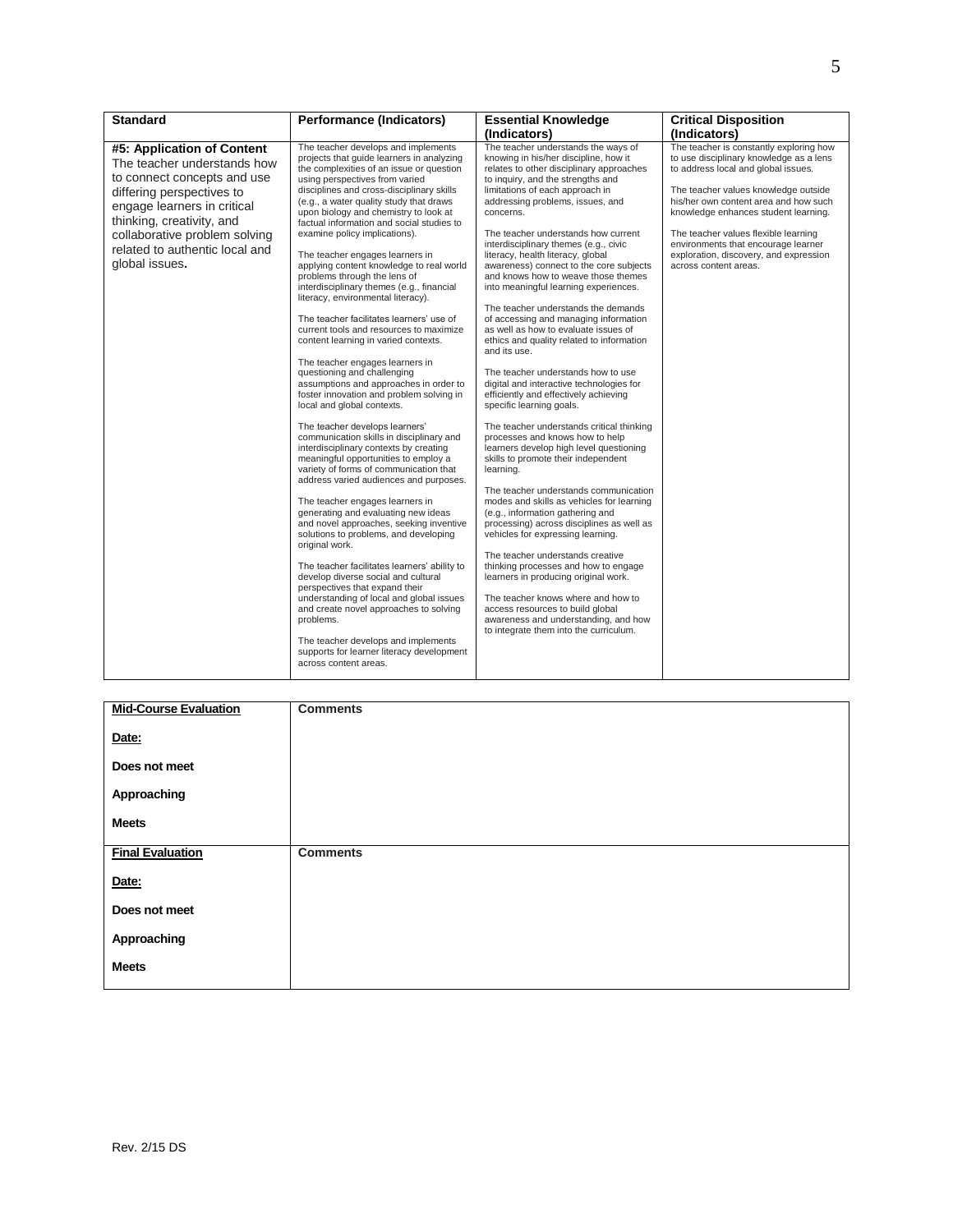| <b>Standard</b>                                                                                                                                                                                                                                                        | <b>Performance (Indicators)</b>                                                                                                                                                                                                                                                                                                                                                                                                                                                                                                                                                                                                                                                                                                                                                                                                                                                                                                                                                                                                                                                                                                                                                                                                                                                                                                                                                                                                                                                                                                                                                                                                                                                   | <b>Essential Knowledge</b>                                                                                                                                                                                                                                                                                                                                                                                                                                                                                                                                                                                                                                                                                                                                                                                                                                                                                                                                                                                                                                                                                                                                                                                                                                                                                                                                                                                                                                                                                               | <b>Critical Disposition</b>                                                                                                                                                                                                                                                                                                                                                                          |
|------------------------------------------------------------------------------------------------------------------------------------------------------------------------------------------------------------------------------------------------------------------------|-----------------------------------------------------------------------------------------------------------------------------------------------------------------------------------------------------------------------------------------------------------------------------------------------------------------------------------------------------------------------------------------------------------------------------------------------------------------------------------------------------------------------------------------------------------------------------------------------------------------------------------------------------------------------------------------------------------------------------------------------------------------------------------------------------------------------------------------------------------------------------------------------------------------------------------------------------------------------------------------------------------------------------------------------------------------------------------------------------------------------------------------------------------------------------------------------------------------------------------------------------------------------------------------------------------------------------------------------------------------------------------------------------------------------------------------------------------------------------------------------------------------------------------------------------------------------------------------------------------------------------------------------------------------------------------|--------------------------------------------------------------------------------------------------------------------------------------------------------------------------------------------------------------------------------------------------------------------------------------------------------------------------------------------------------------------------------------------------------------------------------------------------------------------------------------------------------------------------------------------------------------------------------------------------------------------------------------------------------------------------------------------------------------------------------------------------------------------------------------------------------------------------------------------------------------------------------------------------------------------------------------------------------------------------------------------------------------------------------------------------------------------------------------------------------------------------------------------------------------------------------------------------------------------------------------------------------------------------------------------------------------------------------------------------------------------------------------------------------------------------------------------------------------------------------------------------------------------------|------------------------------------------------------------------------------------------------------------------------------------------------------------------------------------------------------------------------------------------------------------------------------------------------------------------------------------------------------------------------------------------------------|
|                                                                                                                                                                                                                                                                        |                                                                                                                                                                                                                                                                                                                                                                                                                                                                                                                                                                                                                                                                                                                                                                                                                                                                                                                                                                                                                                                                                                                                                                                                                                                                                                                                                                                                                                                                                                                                                                                                                                                                                   | (Indicators)                                                                                                                                                                                                                                                                                                                                                                                                                                                                                                                                                                                                                                                                                                                                                                                                                                                                                                                                                                                                                                                                                                                                                                                                                                                                                                                                                                                                                                                                                                             | (Indicators)                                                                                                                                                                                                                                                                                                                                                                                         |
| #5: Application of Content<br>The teacher understands how<br>to connect concepts and use<br>differing perspectives to<br>engage learners in critical<br>thinking, creativity, and<br>collaborative problem solving<br>related to authentic local and<br>global issues. | The teacher develops and implements<br>projects that guide learners in analyzing<br>the complexities of an issue or question<br>using perspectives from varied<br>disciplines and cross-disciplinary skills<br>(e.g., a water quality study that draws<br>upon biology and chemistry to look at<br>factual information and social studies to<br>examine policy implications).<br>The teacher engages learners in<br>applying content knowledge to real world<br>problems through the lens of<br>interdisciplinary themes (e.g., financial<br>literacy, environmental literacy).<br>The teacher facilitates learners' use of<br>current tools and resources to maximize<br>content learning in varied contexts.<br>The teacher engages learners in<br>questioning and challenging<br>assumptions and approaches in order to<br>foster innovation and problem solving in<br>local and global contexts.<br>The teacher develops learners'<br>communication skills in disciplinary and<br>interdisciplinary contexts by creating<br>meaningful opportunities to employ a<br>variety of forms of communication that<br>address varied audiences and purposes.<br>The teacher engages learners in<br>generating and evaluating new ideas<br>and novel approaches, seeking inventive<br>solutions to problems, and developing<br>original work.<br>The teacher facilitates learners' ability to<br>develop diverse social and cultural<br>perspectives that expand their<br>understanding of local and global issues<br>and create novel approaches to solving<br>problems.<br>The teacher develops and implements<br>supports for learner literacy development<br>across content areas. | The teacher understands the ways of<br>knowing in his/her discipline, how it<br>relates to other disciplinary approaches<br>to inquiry, and the strengths and<br>limitations of each approach in<br>addressing problems, issues, and<br>concerns.<br>The teacher understands how current<br>interdisciplinary themes (e.g., civic<br>literacy, health literacy, global<br>awareness) connect to the core subjects<br>and knows how to weave those themes<br>into meaningful learning experiences.<br>The teacher understands the demands<br>of accessing and managing information<br>as well as how to evaluate issues of<br>ethics and quality related to information<br>and its use.<br>The teacher understands how to use<br>digital and interactive technologies for<br>efficiently and effectively achieving<br>specific learning goals.<br>The teacher understands critical thinking<br>processes and knows how to help<br>learners develop high level questioning<br>skills to promote their independent<br>learning.<br>The teacher understands communication<br>modes and skills as vehicles for learning<br>(e.g., information gathering and<br>processing) across disciplines as well as<br>vehicles for expressing learning.<br>The teacher understands creative<br>thinking processes and how to engage<br>learners in producing original work.<br>The teacher knows where and how to<br>access resources to build global<br>awareness and understanding, and how<br>to integrate them into the curriculum. | The teacher is constantly exploring how<br>to use disciplinary knowledge as a lens<br>to address local and global issues.<br>The teacher values knowledge outside<br>his/her own content area and how such<br>knowledge enhances student learning.<br>The teacher values flexible learning<br>environments that encourage learner<br>exploration, discovery, and expression<br>across content areas. |

| <b>Mid-Course Evaluation</b> | <b>Comments</b> |
|------------------------------|-----------------|
| Date:                        |                 |
| Does not meet                |                 |
| Approaching                  |                 |
| <b>Meets</b>                 |                 |
| <b>Final Evaluation</b>      | <b>Comments</b> |
| Date:                        |                 |
| Does not meet                |                 |
| Approaching                  |                 |
| <b>Meets</b>                 |                 |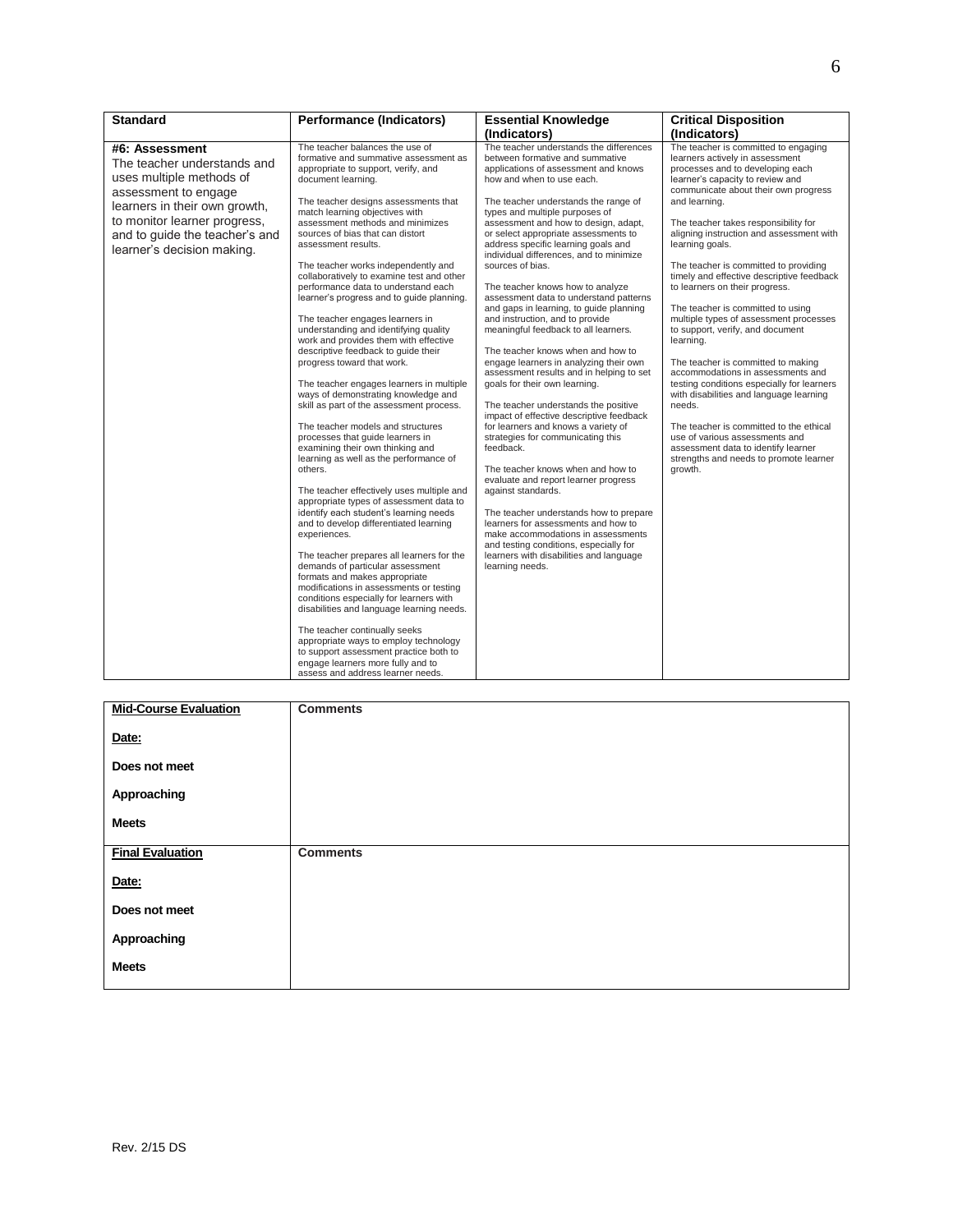| <b>Standard</b>                                                                                                                                                                                                                    | <b>Performance (Indicators)</b>                                                                                                                                                                                                                                                                                                                                                                                                                                                                                                                                                                                                                                                                                                                                                                                                                                                                                                                                                                                                                                                                                                                                                                                                                                                                                                                                                                                                                                                                                                                                                                                                  | <b>Essential Knowledge</b>                                                                                                                                                                                                                                                                                                                                                                                                                                                                                                                                                                                                                                                                                                                                                                                                                                                                                                                                                                                                                                                                                                                                                                                                                                                                     | <b>Critical Disposition</b>                                                                                                                                                                                                                                                                                                                                                                                                                                                                                                                                                                                                                                                                                                                                                                                                                                                                                                    |
|------------------------------------------------------------------------------------------------------------------------------------------------------------------------------------------------------------------------------------|----------------------------------------------------------------------------------------------------------------------------------------------------------------------------------------------------------------------------------------------------------------------------------------------------------------------------------------------------------------------------------------------------------------------------------------------------------------------------------------------------------------------------------------------------------------------------------------------------------------------------------------------------------------------------------------------------------------------------------------------------------------------------------------------------------------------------------------------------------------------------------------------------------------------------------------------------------------------------------------------------------------------------------------------------------------------------------------------------------------------------------------------------------------------------------------------------------------------------------------------------------------------------------------------------------------------------------------------------------------------------------------------------------------------------------------------------------------------------------------------------------------------------------------------------------------------------------------------------------------------------------|------------------------------------------------------------------------------------------------------------------------------------------------------------------------------------------------------------------------------------------------------------------------------------------------------------------------------------------------------------------------------------------------------------------------------------------------------------------------------------------------------------------------------------------------------------------------------------------------------------------------------------------------------------------------------------------------------------------------------------------------------------------------------------------------------------------------------------------------------------------------------------------------------------------------------------------------------------------------------------------------------------------------------------------------------------------------------------------------------------------------------------------------------------------------------------------------------------------------------------------------------------------------------------------------|--------------------------------------------------------------------------------------------------------------------------------------------------------------------------------------------------------------------------------------------------------------------------------------------------------------------------------------------------------------------------------------------------------------------------------------------------------------------------------------------------------------------------------------------------------------------------------------------------------------------------------------------------------------------------------------------------------------------------------------------------------------------------------------------------------------------------------------------------------------------------------------------------------------------------------|
|                                                                                                                                                                                                                                    |                                                                                                                                                                                                                                                                                                                                                                                                                                                                                                                                                                                                                                                                                                                                                                                                                                                                                                                                                                                                                                                                                                                                                                                                                                                                                                                                                                                                                                                                                                                                                                                                                                  | (Indicators)                                                                                                                                                                                                                                                                                                                                                                                                                                                                                                                                                                                                                                                                                                                                                                                                                                                                                                                                                                                                                                                                                                                                                                                                                                                                                   | (Indicators)                                                                                                                                                                                                                                                                                                                                                                                                                                                                                                                                                                                                                                                                                                                                                                                                                                                                                                                   |
| #6: Assessment<br>The teacher understands and<br>uses multiple methods of<br>assessment to engage<br>learners in their own growth,<br>to monitor learner progress,<br>and to guide the teacher's and<br>learner's decision making. | The teacher balances the use of<br>formative and summative assessment as<br>appropriate to support, verify, and<br>document learning.<br>The teacher designs assessments that<br>match learning objectives with<br>assessment methods and minimizes<br>sources of bias that can distort<br>assessment results.<br>The teacher works independently and<br>collaboratively to examine test and other<br>performance data to understand each<br>learner's progress and to guide planning.<br>The teacher engages learners in<br>understanding and identifying quality<br>work and provides them with effective<br>descriptive feedback to quide their<br>progress toward that work.<br>The teacher engages learners in multiple<br>ways of demonstrating knowledge and<br>skill as part of the assessment process.<br>The teacher models and structures<br>processes that quide learners in<br>examining their own thinking and<br>learning as well as the performance of<br>others.<br>The teacher effectively uses multiple and<br>appropriate types of assessment data to<br>identify each student's learning needs<br>and to develop differentiated learning<br>experiences.<br>The teacher prepares all learners for the<br>demands of particular assessment<br>formats and makes appropriate<br>modifications in assessments or testing<br>conditions especially for learners with<br>disabilities and language learning needs.<br>The teacher continually seeks<br>appropriate ways to employ technology<br>to support assessment practice both to<br>engage learners more fully and to<br>assess and address learner needs. | The teacher understands the differences<br>between formative and summative<br>applications of assessment and knows<br>how and when to use each.<br>The teacher understands the range of<br>types and multiple purposes of<br>assessment and how to design, adapt,<br>or select appropriate assessments to<br>address specific learning goals and<br>individual differences, and to minimize<br>sources of bias.<br>The teacher knows how to analyze<br>assessment data to understand patterns<br>and gaps in learning, to guide planning<br>and instruction, and to provide<br>meaningful feedback to all learners.<br>The teacher knows when and how to<br>engage learners in analyzing their own<br>assessment results and in helping to set<br>goals for their own learning.<br>The teacher understands the positive<br>impact of effective descriptive feedback<br>for learners and knows a variety of<br>strategies for communicating this<br>feedback.<br>The teacher knows when and how to<br>evaluate and report learner progress<br>against standards.<br>The teacher understands how to prepare<br>learners for assessments and how to<br>make accommodations in assessments<br>and testing conditions, especially for<br>learners with disabilities and language<br>learning needs. | The teacher is committed to engaging<br>learners actively in assessment<br>processes and to developing each<br>learner's capacity to review and<br>communicate about their own progress<br>and learning.<br>The teacher takes responsibility for<br>aligning instruction and assessment with<br>learning goals.<br>The teacher is committed to providing<br>timely and effective descriptive feedback<br>to learners on their progress.<br>The teacher is committed to using<br>multiple types of assessment processes<br>to support, verify, and document<br>learning.<br>The teacher is committed to making<br>accommodations in assessments and<br>testing conditions especially for learners<br>with disabilities and language learning<br>needs.<br>The teacher is committed to the ethical<br>use of various assessments and<br>assessment data to identify learner<br>strengths and needs to promote learner<br>growth. |

| <b>Mid-Course Evaluation</b> | <b>Comments</b> |
|------------------------------|-----------------|
| Date:                        |                 |
| Does not meet                |                 |
| Approaching                  |                 |
| <b>Meets</b>                 |                 |
| <b>Final Evaluation</b>      | <b>Comments</b> |
| Date:                        |                 |
| Does not meet                |                 |
| Approaching                  |                 |
| <b>Meets</b>                 |                 |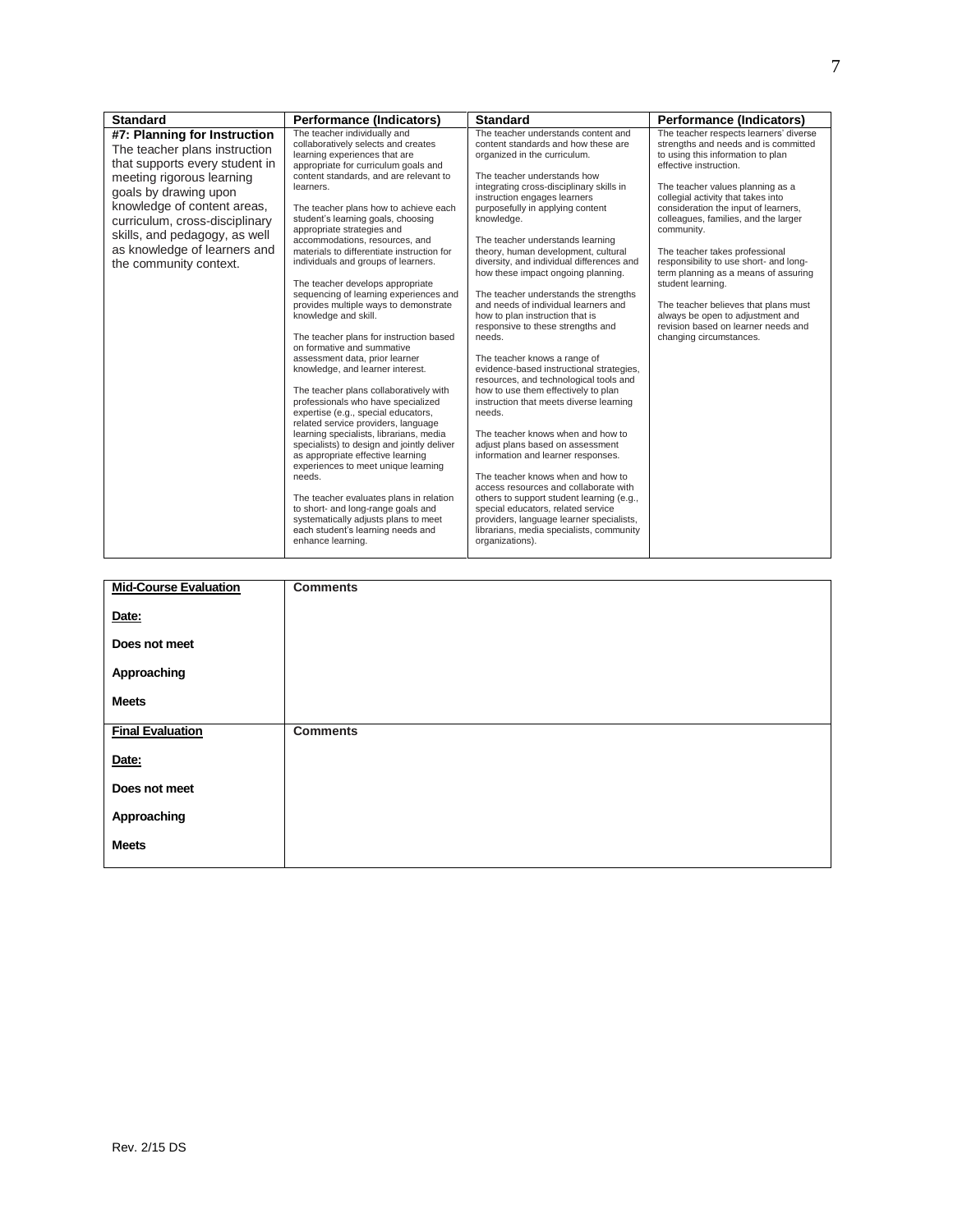| <b>Standard</b>                                                                                                                                                                                                                                                                                                   | <b>Performance (Indicators)</b>                                                                                                                                                                                                                                                                                                                                                                                                                                                                                                                                                                                                                                                                                                                                                                                                                                                                                                                                                                                                                                                                                                                                                                                                                                       | <b>Standard</b>                                                                                                                                                                                                                                                                                                                                                                                                                                                                                                                                                                                                                                                                                                                                                                                                                                                                                                                                                                                                                                                                                                                                                                                                       | Performance (Indicators)                                                                                                                                                                                                                                                                                                                                                                                                                                                                                                                                                                                     |
|-------------------------------------------------------------------------------------------------------------------------------------------------------------------------------------------------------------------------------------------------------------------------------------------------------------------|-----------------------------------------------------------------------------------------------------------------------------------------------------------------------------------------------------------------------------------------------------------------------------------------------------------------------------------------------------------------------------------------------------------------------------------------------------------------------------------------------------------------------------------------------------------------------------------------------------------------------------------------------------------------------------------------------------------------------------------------------------------------------------------------------------------------------------------------------------------------------------------------------------------------------------------------------------------------------------------------------------------------------------------------------------------------------------------------------------------------------------------------------------------------------------------------------------------------------------------------------------------------------|-----------------------------------------------------------------------------------------------------------------------------------------------------------------------------------------------------------------------------------------------------------------------------------------------------------------------------------------------------------------------------------------------------------------------------------------------------------------------------------------------------------------------------------------------------------------------------------------------------------------------------------------------------------------------------------------------------------------------------------------------------------------------------------------------------------------------------------------------------------------------------------------------------------------------------------------------------------------------------------------------------------------------------------------------------------------------------------------------------------------------------------------------------------------------------------------------------------------------|--------------------------------------------------------------------------------------------------------------------------------------------------------------------------------------------------------------------------------------------------------------------------------------------------------------------------------------------------------------------------------------------------------------------------------------------------------------------------------------------------------------------------------------------------------------------------------------------------------------|
| #7: Planning for Instruction<br>The teacher plans instruction<br>that supports every student in<br>meeting rigorous learning<br>goals by drawing upon<br>knowledge of content areas,<br>curriculum, cross-disciplinary<br>skills, and pedagogy, as well<br>as knowledge of learners and<br>the community context. | The teacher individually and<br>collaboratively selects and creates<br>learning experiences that are<br>appropriate for curriculum goals and<br>content standards, and are relevant to<br>learners.<br>The teacher plans how to achieve each<br>student's learning goals, choosing<br>appropriate strategies and<br>accommodations, resources, and<br>materials to differentiate instruction for<br>individuals and groups of learners.<br>The teacher develops appropriate<br>sequencing of learning experiences and<br>provides multiple ways to demonstrate<br>knowledge and skill.<br>The teacher plans for instruction based<br>on formative and summative<br>assessment data, prior learner<br>knowledge, and learner interest.<br>The teacher plans collaboratively with<br>professionals who have specialized<br>expertise (e.g., special educators,<br>related service providers, language<br>learning specialists, librarians, media<br>specialists) to design and jointly deliver<br>as appropriate effective learning<br>experiences to meet unique learning<br>needs.<br>The teacher evaluates plans in relation<br>to short- and long-range goals and<br>systematically adjusts plans to meet<br>each student's learning needs and<br>enhance learning. | The teacher understands content and<br>content standards and how these are<br>organized in the curriculum.<br>The teacher understands how<br>integrating cross-disciplinary skills in<br>instruction engages learners<br>purposefully in applying content<br>knowledge.<br>The teacher understands learning<br>theory, human development, cultural<br>diversity, and individual differences and<br>how these impact ongoing planning.<br>The teacher understands the strengths<br>and needs of individual learners and<br>how to plan instruction that is<br>responsive to these strengths and<br>needs.<br>The teacher knows a range of<br>evidence-based instructional strategies,<br>resources, and technological tools and<br>how to use them effectively to plan<br>instruction that meets diverse learning<br>needs.<br>The teacher knows when and how to<br>adjust plans based on assessment<br>information and learner responses.<br>The teacher knows when and how to<br>access resources and collaborate with<br>others to support student learning (e.g.,<br>special educators, related service<br>providers, language learner specialists,<br>librarians, media specialists, community<br>organizations). | The teacher respects learners' diverse<br>strengths and needs and is committed<br>to using this information to plan<br>effective instruction.<br>The teacher values planning as a<br>collegial activity that takes into<br>consideration the input of learners,<br>colleagues, families, and the larger<br>community.<br>The teacher takes professional<br>responsibility to use short- and long-<br>term planning as a means of assuring<br>student learning.<br>The teacher believes that plans must<br>always be open to adjustment and<br>revision based on learner needs and<br>changing circumstances. |

| <b>Mid-Course Evaluation</b> | <b>Comments</b> |
|------------------------------|-----------------|
| Date:                        |                 |
| Does not meet                |                 |
| Approaching                  |                 |
| <b>Meets</b>                 |                 |
| <b>Final Evaluation</b>      | <b>Comments</b> |
| Date:                        |                 |
| Does not meet                |                 |
| Approaching                  |                 |
| <b>Meets</b>                 |                 |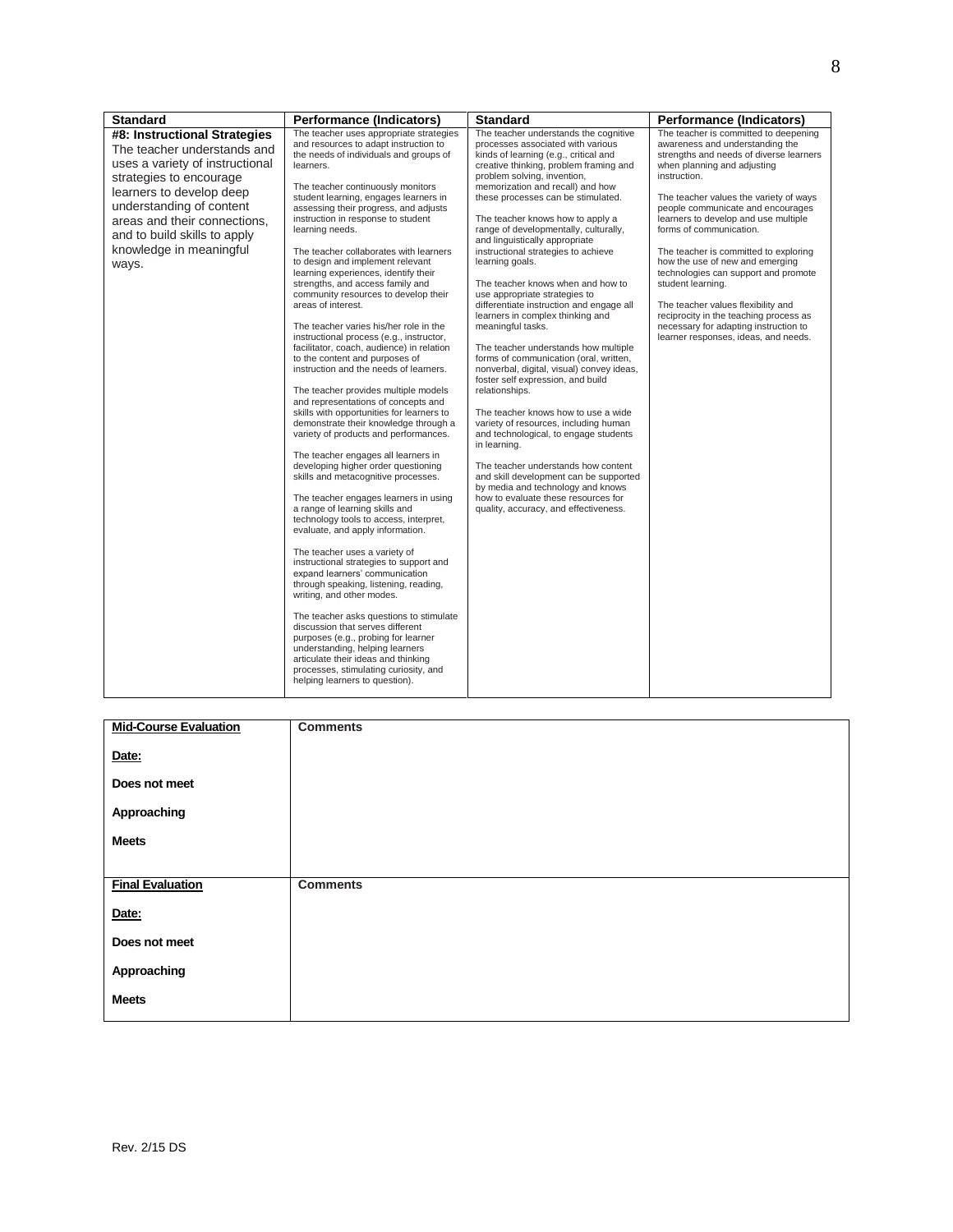| <b>Standard</b>                                                                                                                                                                                                                                                                       | <b>Performance (Indicators)</b>                                                                                                                                                                                                                                                                                                                                                                                                                                                                                                                                                                                                                                                                                                                                                                                                                                                                                                                                                                                                                                                                                                                                                                                                                                                                                                                                                                                                                                                                                                                                                                                                                                                                                           | <b>Standard</b>                                                                                                                                                                                                                                                                                                                                                                                                                                                                                                                                                                                                                                                                                                                                                                                                                                                                                                                                                                                                                                                                                                                                                 | Performance (Indicators)                                                                                                                                                                                                                                                                                                                                                                                                                                                                                                                                                                                                       |
|---------------------------------------------------------------------------------------------------------------------------------------------------------------------------------------------------------------------------------------------------------------------------------------|---------------------------------------------------------------------------------------------------------------------------------------------------------------------------------------------------------------------------------------------------------------------------------------------------------------------------------------------------------------------------------------------------------------------------------------------------------------------------------------------------------------------------------------------------------------------------------------------------------------------------------------------------------------------------------------------------------------------------------------------------------------------------------------------------------------------------------------------------------------------------------------------------------------------------------------------------------------------------------------------------------------------------------------------------------------------------------------------------------------------------------------------------------------------------------------------------------------------------------------------------------------------------------------------------------------------------------------------------------------------------------------------------------------------------------------------------------------------------------------------------------------------------------------------------------------------------------------------------------------------------------------------------------------------------------------------------------------------------|-----------------------------------------------------------------------------------------------------------------------------------------------------------------------------------------------------------------------------------------------------------------------------------------------------------------------------------------------------------------------------------------------------------------------------------------------------------------------------------------------------------------------------------------------------------------------------------------------------------------------------------------------------------------------------------------------------------------------------------------------------------------------------------------------------------------------------------------------------------------------------------------------------------------------------------------------------------------------------------------------------------------------------------------------------------------------------------------------------------------------------------------------------------------|--------------------------------------------------------------------------------------------------------------------------------------------------------------------------------------------------------------------------------------------------------------------------------------------------------------------------------------------------------------------------------------------------------------------------------------------------------------------------------------------------------------------------------------------------------------------------------------------------------------------------------|
| #8: Instructional Strategies<br>The teacher understands and<br>uses a variety of instructional<br>strategies to encourage<br>learners to develop deep<br>understanding of content<br>areas and their connections.<br>and to build skills to apply<br>knowledge in meaningful<br>ways. | The teacher uses appropriate strategies<br>and resources to adapt instruction to<br>the needs of individuals and groups of<br>learners.<br>The teacher continuously monitors<br>student learning, engages learners in<br>assessing their progress, and adjusts<br>instruction in response to student<br>learning needs.<br>The teacher collaborates with learners<br>to design and implement relevant<br>learning experiences, identify their<br>strengths, and access family and<br>community resources to develop their<br>areas of interest.<br>The teacher varies his/her role in the<br>instructional process (e.g., instructor,<br>facilitator, coach, audience) in relation<br>to the content and purposes of<br>instruction and the needs of learners.<br>The teacher provides multiple models<br>and representations of concepts and<br>skills with opportunities for learners to<br>demonstrate their knowledge through a<br>variety of products and performances.<br>The teacher engages all learners in<br>developing higher order questioning<br>skills and metacognitive processes.<br>The teacher engages learners in using<br>a range of learning skills and<br>technology tools to access, interpret,<br>evaluate, and apply information.<br>The teacher uses a variety of<br>instructional strategies to support and<br>expand learners' communication<br>through speaking, listening, reading,<br>writing, and other modes.<br>The teacher asks questions to stimulate<br>discussion that serves different<br>purposes (e.g., probing for learner<br>understanding, helping learners<br>articulate their ideas and thinking<br>processes, stimulating curiosity, and<br>helping learners to question). | The teacher understands the cognitive<br>processes associated with various<br>kinds of learning (e.g., critical and<br>creative thinking, problem framing and<br>problem solving, invention,<br>memorization and recall) and how<br>these processes can be stimulated.<br>The teacher knows how to apply a<br>range of developmentally, culturally,<br>and linguistically appropriate<br>instructional strategies to achieve<br>learning goals.<br>The teacher knows when and how to<br>use appropriate strategies to<br>differentiate instruction and engage all<br>learners in complex thinking and<br>meaningful tasks.<br>The teacher understands how multiple<br>forms of communication (oral, written,<br>nonverbal, digital, visual) convey ideas,<br>foster self expression, and build<br>relationships.<br>The teacher knows how to use a wide<br>variety of resources, including human<br>and technological, to engage students<br>in learning.<br>The teacher understands how content<br>and skill development can be supported<br>by media and technology and knows<br>how to evaluate these resources for<br>quality, accuracy, and effectiveness. | The teacher is committed to deepening<br>awareness and understanding the<br>strengths and needs of diverse learners<br>when planning and adjusting<br>instruction.<br>The teacher values the variety of ways<br>people communicate and encourages<br>learners to develop and use multiple<br>forms of communication.<br>The teacher is committed to exploring<br>how the use of new and emerging<br>technologies can support and promote<br>student learning.<br>The teacher values flexibility and<br>reciprocity in the teaching process as<br>necessary for adapting instruction to<br>learner responses, ideas, and needs. |

| <b>Mid-Course Evaluation</b> | <b>Comments</b> |
|------------------------------|-----------------|
| Date:                        |                 |
| Does not meet                |                 |
| Approaching                  |                 |
| <b>Meets</b>                 |                 |
|                              |                 |
| <b>Final Evaluation</b>      | <b>Comments</b> |
| Date:                        |                 |
| Does not meet                |                 |
| Approaching                  |                 |
| <b>Meets</b>                 |                 |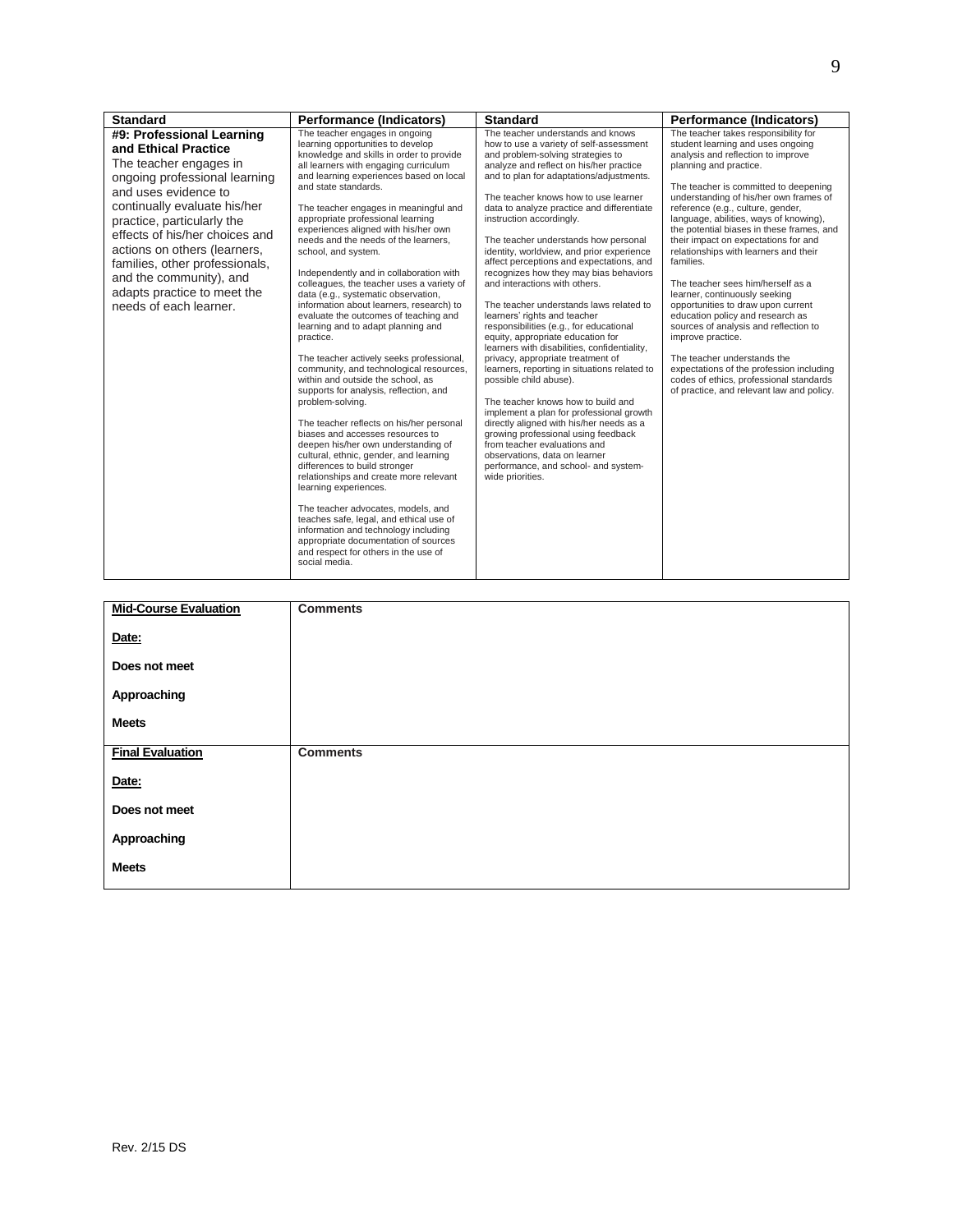| <b>Standard</b>                                                                                                                                                                                                                                                                                                                                                                            | <b>Performance (Indicators)</b>                                                                                                                                                                                                                                                                                                                                                                                                                                                                                                                                                                                                                                                                                                                                                                                                                                                                                                                                                                                                                                                                                                                                                                                                                                                                                                                                                  | <b>Standard</b>                                                                                                                                                                                                                                                                                                                                                                                                                                                                                                                                                                                                                                                                                                                                                                                                                                                                                                                                                                                                                                                                                                                                                    | <b>Performance (Indicators)</b>                                                                                                                                                                                                                                                                                                                                                                                                                                                                                                                                                                                                                                                                                                                                                                                                         |
|--------------------------------------------------------------------------------------------------------------------------------------------------------------------------------------------------------------------------------------------------------------------------------------------------------------------------------------------------------------------------------------------|----------------------------------------------------------------------------------------------------------------------------------------------------------------------------------------------------------------------------------------------------------------------------------------------------------------------------------------------------------------------------------------------------------------------------------------------------------------------------------------------------------------------------------------------------------------------------------------------------------------------------------------------------------------------------------------------------------------------------------------------------------------------------------------------------------------------------------------------------------------------------------------------------------------------------------------------------------------------------------------------------------------------------------------------------------------------------------------------------------------------------------------------------------------------------------------------------------------------------------------------------------------------------------------------------------------------------------------------------------------------------------|--------------------------------------------------------------------------------------------------------------------------------------------------------------------------------------------------------------------------------------------------------------------------------------------------------------------------------------------------------------------------------------------------------------------------------------------------------------------------------------------------------------------------------------------------------------------------------------------------------------------------------------------------------------------------------------------------------------------------------------------------------------------------------------------------------------------------------------------------------------------------------------------------------------------------------------------------------------------------------------------------------------------------------------------------------------------------------------------------------------------------------------------------------------------|-----------------------------------------------------------------------------------------------------------------------------------------------------------------------------------------------------------------------------------------------------------------------------------------------------------------------------------------------------------------------------------------------------------------------------------------------------------------------------------------------------------------------------------------------------------------------------------------------------------------------------------------------------------------------------------------------------------------------------------------------------------------------------------------------------------------------------------------|
| #9: Professional Learning<br>and Ethical Practice<br>The teacher engages in<br>ongoing professional learning<br>and uses evidence to<br>continually evaluate his/her<br>practice, particularly the<br>effects of his/her choices and<br>actions on others (learners,<br>families, other professionals,<br>and the community), and<br>adapts practice to meet the<br>needs of each learner. | The teacher engages in ongoing<br>learning opportunities to develop<br>knowledge and skills in order to provide<br>all learners with engaging curriculum<br>and learning experiences based on local<br>and state standards.<br>The teacher engages in meaningful and<br>appropriate professional learning<br>experiences aligned with his/her own<br>needs and the needs of the learners.<br>school, and system.<br>Independently and in collaboration with<br>colleagues, the teacher uses a variety of<br>data (e.g., systematic observation,<br>information about learners, research) to<br>evaluate the outcomes of teaching and<br>learning and to adapt planning and<br>practice.<br>The teacher actively seeks professional,<br>community, and technological resources,<br>within and outside the school, as<br>supports for analysis, reflection, and<br>problem-solving.<br>The teacher reflects on his/her personal<br>biases and accesses resources to<br>deepen his/her own understanding of<br>cultural, ethnic, gender, and learning<br>differences to build stronger<br>relationships and create more relevant<br>learning experiences.<br>The teacher advocates, models, and<br>teaches safe, legal, and ethical use of<br>information and technology including<br>appropriate documentation of sources<br>and respect for others in the use of<br>social media. | The teacher understands and knows<br>how to use a variety of self-assessment<br>and problem-solving strategies to<br>analyze and reflect on his/her practice<br>and to plan for adaptations/adjustments.<br>The teacher knows how to use learner<br>data to analyze practice and differentiate<br>instruction accordingly.<br>The teacher understands how personal<br>identity, worldview, and prior experience<br>affect perceptions and expectations, and<br>recognizes how they may bias behaviors<br>and interactions with others.<br>The teacher understands laws related to<br>learners' rights and teacher<br>responsibilities (e.g., for educational<br>equity, appropriate education for<br>learners with disabilities, confidentiality,<br>privacy, appropriate treatment of<br>learners, reporting in situations related to<br>possible child abuse).<br>The teacher knows how to build and<br>implement a plan for professional growth<br>directly aligned with his/her needs as a<br>growing professional using feedback<br>from teacher evaluations and<br>observations, data on learner<br>performance, and school- and system-<br>wide priorities. | The teacher takes responsibility for<br>student learning and uses ongoing<br>analysis and reflection to improve<br>planning and practice.<br>The teacher is committed to deepening<br>understanding of his/her own frames of<br>reference (e.g., culture, gender,<br>language, abilities, ways of knowing),<br>the potential biases in these frames, and<br>their impact on expectations for and<br>relationships with learners and their<br>families.<br>The teacher sees him/herself as a<br>learner, continuously seeking<br>opportunities to draw upon current<br>education policy and research as<br>sources of analysis and reflection to<br>improve practice.<br>The teacher understands the<br>expectations of the profession including<br>codes of ethics, professional standards<br>of practice, and relevant law and policy. |

| <b>Mid-Course Evaluation</b> | <b>Comments</b> |
|------------------------------|-----------------|
| Date:                        |                 |
| Does not meet                |                 |
| Approaching                  |                 |
| <b>Meets</b>                 |                 |
| <b>Final Evaluation</b>      | <b>Comments</b> |
| Date:                        |                 |
| Does not meet                |                 |
| Approaching                  |                 |
| <b>Meets</b>                 |                 |